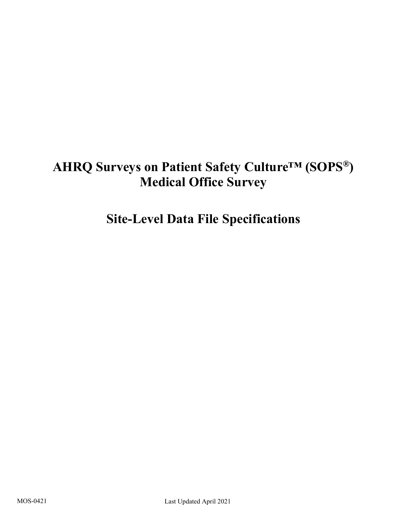# **AHRQ Surveys on Patient Safety Culture™ (SOPS®) Medical Office Survey**

# **Site-Level Data File Specifications**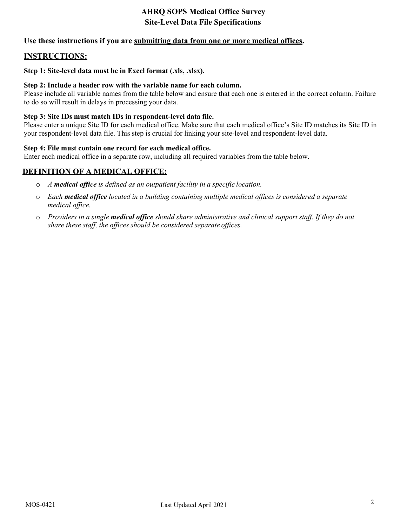## **Use these instructions if you are submitting data from one or more medical offices.**

## **INSTRUCTIONS:**

#### **Step 1: Site-level data must be in Excel format (.xls, .xlsx).**

#### **Step 2: Include a header row with the variable name for each column.**

Please include all variable names from the table below and ensure that each one is entered in the correct column. Failure to do so will result in delays in processing your data.

#### **Step 3: Site IDs must match IDs in respondent-level data file.**

Please enter a unique Site ID for each medical office. Make sure that each medical office's Site ID matches its Site ID in your respondent-level data file. This step is crucial for linking your site-level and respondent-level data.

#### **Step 4: File must contain one record for each medical office.**

Enter each medical office in a separate row, including all required variables from the table below.

### **DEFINITION OF A MEDICAL OFFICE:**

- o *A medical office is defined as an outpatient facility in a specific location.*
- o *Each medical office located in a building containing multiple medical offices is considered a separate medical office.*
- o *Providers in a single medical office should share administrative and clinical support staff. If they do not share these staff, the offices should be considered separate offices.*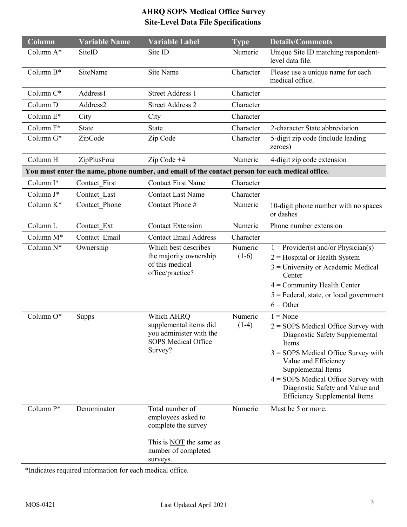| Column              | <b>Variable Name</b> | <b>Variable Label</b>                                                                                                             | <b>Type</b>        | <b>Details/Comments</b>                                                                                                                                                                                                                                                                                   |
|---------------------|----------------------|-----------------------------------------------------------------------------------------------------------------------------------|--------------------|-----------------------------------------------------------------------------------------------------------------------------------------------------------------------------------------------------------------------------------------------------------------------------------------------------------|
| Column A*           | SiteID               | Site ID                                                                                                                           | Numeric            | Unique Site ID matching respondent-<br>level data file.                                                                                                                                                                                                                                                   |
| Column B*           | SiteName             | <b>Site Name</b>                                                                                                                  | Character          | Please use a unique name for each<br>medical office.                                                                                                                                                                                                                                                      |
| Column C*           | Address1             | <b>Street Address 1</b>                                                                                                           | Character          |                                                                                                                                                                                                                                                                                                           |
| Column D            | Address2             | <b>Street Address 2</b>                                                                                                           | Character          |                                                                                                                                                                                                                                                                                                           |
| Column E*           | City                 | City                                                                                                                              | Character          |                                                                                                                                                                                                                                                                                                           |
| Column F*           | <b>State</b>         | <b>State</b>                                                                                                                      | Character          | 2-character State abbreviation                                                                                                                                                                                                                                                                            |
| Column G*           | ZipCode              | Zip Code                                                                                                                          | Character          | 5-digit zip code (include leading<br>zeroes)                                                                                                                                                                                                                                                              |
| Column H            | ZipPlusFour          | $Zip Code +4$                                                                                                                     | Numeric            | 4-digit zip code extension                                                                                                                                                                                                                                                                                |
|                     |                      | You must enter the name, phone number, and email of the contact person for each medical office.                                   |                    |                                                                                                                                                                                                                                                                                                           |
| Column I*           | Contact First        | <b>Contact First Name</b>                                                                                                         | Character          |                                                                                                                                                                                                                                                                                                           |
| Column J*           | Contact Last         | <b>Contact Last Name</b>                                                                                                          | Character          |                                                                                                                                                                                                                                                                                                           |
| Column K*           | Contact Phone        | Contact Phone #                                                                                                                   | Numeric            | 10-digit phone number with no spaces<br>or dashes                                                                                                                                                                                                                                                         |
| Column <sub>L</sub> | Contact Ext          | <b>Contact Extension</b>                                                                                                          | Numeric            | Phone number extension                                                                                                                                                                                                                                                                                    |
| Column M*           | Contact Email        | <b>Contact Email Address</b>                                                                                                      | Character          |                                                                                                                                                                                                                                                                                                           |
| Column N*           | Ownership            | Which best describes<br>the majority ownership<br>of this medical<br>office/practice?                                             | Numeric<br>$(1-6)$ | $1 = \text{Provider}(s)$ and/or Physician(s)<br>$2$ = Hospital or Health System<br>$3$ = University or Academic Medical<br>Center<br>$4 =$ Community Health Center<br>$5$ = Federal, state, or local government<br>$6 = Other$                                                                            |
| Column O*           | <b>Supps</b>         | Which AHRQ<br>supplemental items did<br>you administer with the<br><b>SOPS Medical Office</b><br>Survey?                          | Numeric<br>$(1-4)$ | $1 = None$<br>$2 =$ SOPS Medical Office Survey with<br>Diagnostic Safety Supplemental<br>Items<br>$3 =$ SOPS Medical Office Survey with<br>Value and Efficiency<br>Supplemental Items<br>$4 =$ SOPS Medical Office Survey with<br>Diagnostic Safety and Value and<br><b>Efficiency Supplemental Items</b> |
| Column P*           | Denominator          | Total number of<br>employees asked to<br>complete the survey<br>This is <b>NOT</b> the same as<br>number of completed<br>surveys. | Numeric            | Must be 5 or more.                                                                                                                                                                                                                                                                                        |

\*Indicates required information for each medical office.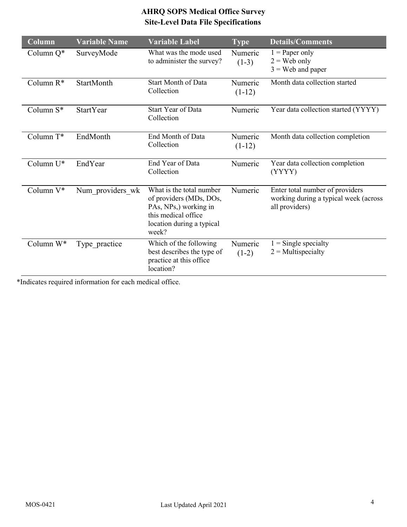| Column       | <b>Variable Name</b> | <b>Variable Label</b>                                                                                                                     | $\boxed{\textbf{Type}}$ | <b>Details/Comments</b>                                                                    |
|--------------|----------------------|-------------------------------------------------------------------------------------------------------------------------------------------|-------------------------|--------------------------------------------------------------------------------------------|
| Column Q*    | SurveyMode           | What was the mode used<br>to administer the survey?                                                                                       | Numeric<br>$(1-3)$      | $1$ = Paper only<br>$2 =$ Web only<br>$3$ = Web and paper                                  |
| Column $R^*$ | StartMonth           | <b>Start Month of Data</b><br>Collection                                                                                                  | Numeric<br>$(1-12)$     | Month data collection started                                                              |
| Column S*    | <b>StartYear</b>     | <b>Start Year of Data</b><br>Collection                                                                                                   | Numeric                 | Year data collection started (YYYY)                                                        |
| Column T*    | EndMonth             | End Month of Data<br>Collection                                                                                                           | Numeric<br>$(1-12)$     | Month data collection completion                                                           |
| Column U*    | EndYear              | End Year of Data<br>Collection                                                                                                            | Numeric                 | Year data collection completion<br>(YYYY)                                                  |
| Column V*    | Num providers wk     | What is the total number<br>of providers (MDs, DOs,<br>PAs, NPs,) working in<br>this medical office<br>location during a typical<br>week? | Numeric                 | Enter total number of providers<br>working during a typical week (across<br>all providers) |
| Column W*    | Type practice        | Which of the following<br>best describes the type of<br>practice at this office<br>location?                                              | Numeric<br>$(1-2)$      | $=$ Single specialty<br>$2$ = Multispecialty                                               |

\*Indicates required information for each medical office.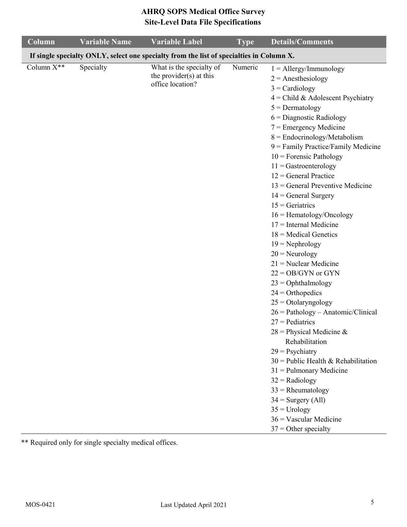| Column                                                                                   | <b>Variable Name</b> | <b>Variable Label</b>                                                   | <b>Type</b> | <b>Details/Comments</b>                                                                                                                                                                                                                                                                                                                                                                                                                                                                                                                                                                                                                                                                                                                                                                                                                                                                                                                                                                                                                       |  |
|------------------------------------------------------------------------------------------|----------------------|-------------------------------------------------------------------------|-------------|-----------------------------------------------------------------------------------------------------------------------------------------------------------------------------------------------------------------------------------------------------------------------------------------------------------------------------------------------------------------------------------------------------------------------------------------------------------------------------------------------------------------------------------------------------------------------------------------------------------------------------------------------------------------------------------------------------------------------------------------------------------------------------------------------------------------------------------------------------------------------------------------------------------------------------------------------------------------------------------------------------------------------------------------------|--|
| If single specialty ONLY, select one specialty from the list of specialties in Column X. |                      |                                                                         |             |                                                                                                                                                                                                                                                                                                                                                                                                                                                                                                                                                                                                                                                                                                                                                                                                                                                                                                                                                                                                                                               |  |
| Column X**                                                                               | Specialty            | What is the specialty of<br>the provider(s) at this<br>office location? | Numeric     | $1 =$ Allergy/Immunology<br>$2 =$ Anesthesiology<br>$3 = \text{Cardiology}$<br>$4$ = Child & Adolescent Psychiatry<br>$5 =$ Dermatology<br>$6$ = Diagnostic Radiology<br>$7$ = Emergency Medicine<br>$8 =$ Endocrinology/Metabolism<br>$9$ = Family Practice/Family Medicine<br>$10$ = Forensic Pathology<br>$11 =$ Gastroenterology<br>$12$ = General Practice<br>$13$ = General Preventive Medicine<br>$14 = General Surgery$<br>$15 =$ Geriatrics<br>$16 =$ Hematology/Oncology<br>$17$ = Internal Medicine<br>$18$ = Medical Genetics<br>$19 = \text{Nephrology}$<br>$20$ = Neurology<br>$21$ = Nuclear Medicine<br>$22 = OB/GYN$ or GYN<br>$23 = Ophthalmology$<br>$24$ = Orthopedics<br>$25 = Otolaryngology$<br>$26 = Pathology - Anatomic/Clinical$<br>$27$ = Pediatrics<br>$28$ = Physical Medicine &<br>Rehabilitation<br>$29$ = Psychiatry<br>$30$ = Public Health & Rehabilitation<br>$31$ = Pulmonary Medicine<br>$32$ = Radiology<br>$33$ = Rheumatology<br>$34 =$ Surgery (All)<br>$35 =$ Urology<br>$36 = V$ ascular Medicine |  |
|                                                                                          |                      |                                                                         |             | $37 =$ Other specialty                                                                                                                                                                                                                                                                                                                                                                                                                                                                                                                                                                                                                                                                                                                                                                                                                                                                                                                                                                                                                        |  |

\*\* Required only for single specialty medical offices.

i.